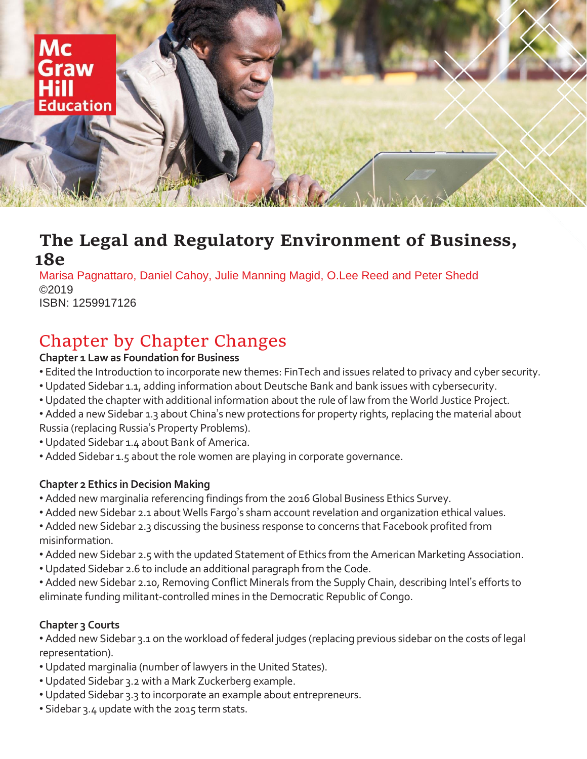

## **The Legal and Regulatory Environment of Business, 18e**

Marisa Pagnattaro, Daniel Cahoy, Julie Manning Magid, O.Lee Reed and Peter Shedd ©2019 ISBN: 1259917126

# Chapter by Chapter Changes

#### **Chapter 1 Law as Foundation for Business**

- Edited the Introduction to incorporate new themes: FinTech and issues related to privacy and cyber security.
- Updated Sidebar 1.1, adding information about Deutsche Bank and bank issues with cybersecurity.
- Updated the chapter with additional information about the rule of law from the World Justice Project.
- Added a new Sidebar 1.3 about China's new protections for property rights, replacing the material about Russia (replacing Russia's Property Problems).
- Updated Sidebar 1.4 about Bank of America.
- Added Sidebar 1.5 about the role women are playing in corporate governance.

## **Chapter 2 Ethics in Decision Making**

- Added new marginalia referencing findings from the 2016 Global Business Ethics Survey.
- Added new Sidebar 2.1 about Wells Fargo's sham account revelation and organization ethical values.
- Added new Sidebar 2.3 discussing the business response to concerns that Facebook profited from misinformation.
- Added new Sidebar 2.5 with the updated Statement of Ethics from the American Marketing Association.
- Updated Sidebar 2.6 to include an additional paragraph from the Code.
- Added new Sidebar 2.10, Removing Conflict Minerals from the Supply Chain, describing Intel's efforts to eliminate funding militant-controlled mines in the Democratic Republic of Congo.

## **Chapter 3 Courts**

• Added new Sidebar 3.1 on the workload of federal judges (replacing previous sidebar on the costs of legal representation).

- Updated marginalia (number of lawyers in the United States).
- Updated Sidebar 3.2 with a Mark Zuckerberg example.
- Updated Sidebar 3.3 to incorporate an example about entrepreneurs.
- Sidebar 3.4 update with the 2015 term stats.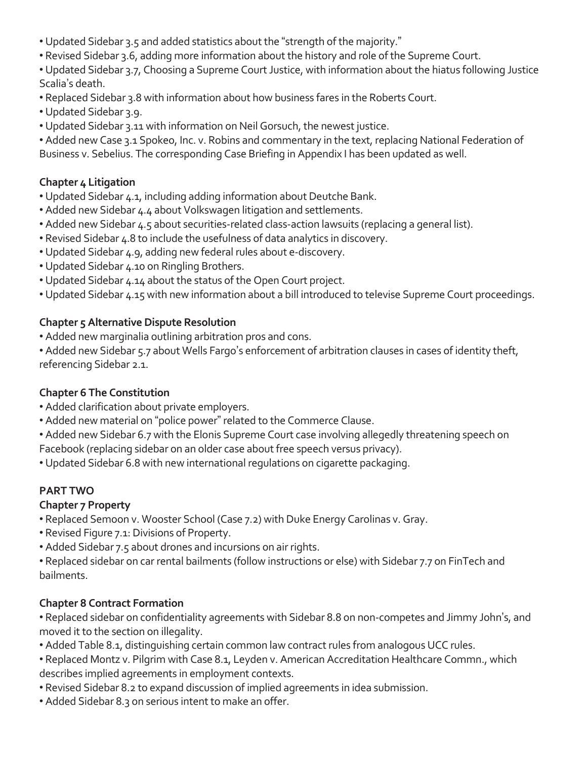- Updated Sidebar 3.5 and added statistics about the "strength of the majority."
- Revised Sidebar 3.6, adding more information about the history and role of the Supreme Court.
- Updated Sidebar 3.7, Choosing a Supreme Court Justice, with information about the hiatus following Justice Scalia's death.
- Replaced Sidebar 3.8 with information about how business fares in the Roberts Court.
- Updated Sidebar 3.9.
- Updated Sidebar 3.11 with information on Neil Gorsuch, the newest justice.

• Added new Case 3.1 Spokeo, Inc. v. Robins and commentary in the text, replacing National Federation of Business v. Sebelius. The corresponding Case Briefing in Appendix I has been updated as well.

## **Chapter 4 Litigation**

- Updated Sidebar 4.1, including adding information about Deutche Bank.
- Added new Sidebar 4.4 about Volkswagen litigation and settlements.
- Added new Sidebar 4.5 about securities-related class-action lawsuits (replacing a general list).
- Revised Sidebar 4.8 to include the usefulness of data analytics in discovery.
- Updated Sidebar 4.9, adding new federal rules about e-discovery.
- Updated Sidebar 4.10 on Ringling Brothers.
- Updated Sidebar 4.14 about the status of the Open Court project.
- Updated Sidebar 4.15 with new information about a bill introduced to televise Supreme Court proceedings.

## **Chapter 5 Alternative Dispute Resolution**

• Added new marginalia outlining arbitration pros and cons.

• Added new Sidebar 5.7 about Wells Fargo's enforcement of arbitration clauses in cases of identity theft, referencing Sidebar 2.1.

## **Chapter 6 The Constitution**

- Added clarification about private employers.
- Added new material on "police power" related to the Commerce Clause.
- Added new Sidebar 6.7 with the Elonis Supreme Court case involving allegedly threatening speech on

Facebook (replacing sidebar on an older case about free speech versus privacy).

• Updated Sidebar 6.8 with new international regulations on cigarette packaging.

## **PART TWO**

## **Chapter 7 Property**

- Replaced Semoon v. Wooster School (Case 7.2) with Duke Energy Carolinas v. Gray.
- Revised Figure 7.1: Divisions of Property.
- Added Sidebar 7.5 about drones and incursions on air rights.
- Replaced sidebar on car rental bailments (follow instructions or else) with Sidebar 7.7 on FinTech and bailments.

## **Chapter 8 Contract Formation**

• Replaced sidebar on confidentiality agreements with Sidebar 8.8 on non-competes and Jimmy John's, and moved it to the section on illegality.

- Added Table 8.1, distinguishing certain common law contract rules from analogous UCC rules.
- Replaced Montz v. Pilgrim with Case 8.1, Leyden v. American Accreditation Healthcare Commn., which describes implied agreements in employment contexts.
- Revised Sidebar 8.2 to expand discussion of implied agreements in idea submission.
- Added Sidebar 8.3 on serious intent to make an offer.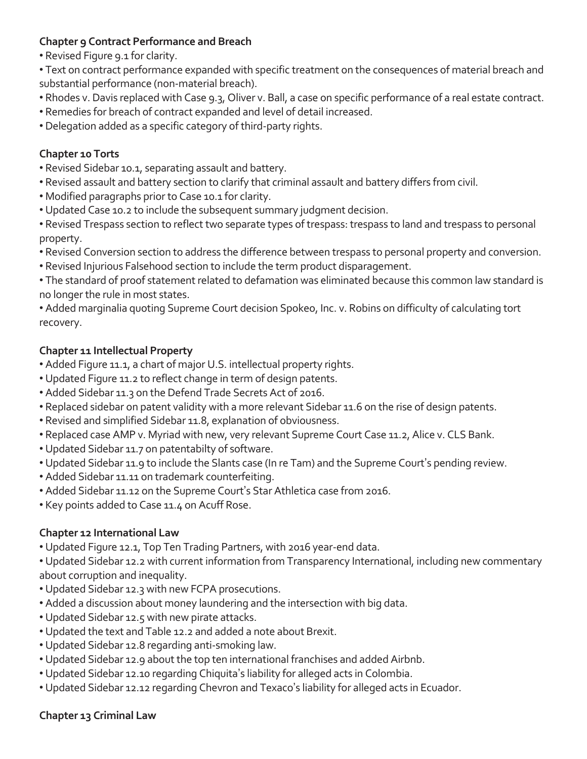#### **Chapter 9 Contract Performance and Breach**

• Revised Figure 9.1 for clarity.

• Text on contract performance expanded with specific treatment on the consequences of material breach and substantial performance (non-material breach).

- Rhodes v. Davis replaced with Case 9.3, Oliver v. Ball, a case on specific performance of a real estate contract.
- Remedies for breach of contract expanded and level of detail increased.
- Delegation added as a specific category of third-party rights.

#### **Chapter 10 Torts**

- Revised Sidebar 10.1, separating assault and battery.
- Revised assault and battery section to clarify that criminal assault and battery differs from civil.
- Modified paragraphs prior to Case 10.1 for clarity.
- Updated Case 10.2 to include the subsequent summary judgment decision.
- Revised Trespass section to reflect two separate types of trespass: trespass to land and trespass to personal property.
- Revised Conversion section to address the difference between trespass to personal property and conversion.
- Revised Injurious Falsehood section to include the term product disparagement.
- The standard of proof statement related to defamation was eliminated because this common law standard is no longer the rule in most states.

• Added marginalia quoting Supreme Court decision Spokeo, Inc. v. Robins on difficulty of calculating tort recovery.

#### **Chapter 11 Intellectual Property**

- Added Figure 11.1, a chart of major U.S. intellectual property rights.
- Updated Figure 11.2 to reflect change in term of design patents.
- Added Sidebar 11.3 on the Defend Trade Secrets Act of 2016.
- Replaced sidebar on patent validity with a more relevant Sidebar 11.6 on the rise of design patents.
- Revised and simplified Sidebar 11.8, explanation of obviousness.
- Replaced case AMP v. Myriad with new, very relevant Supreme Court Case 11.2, Alice v. CLS Bank.
- Updated Sidebar 11.7 on patentabilty of software.
- Updated Sidebar 11.9 to include the Slants case (In re Tam) and the Supreme Court's pending review.
- Added Sidebar 11.11 on trademark counterfeiting.
- Added Sidebar 11.12 on the Supreme Court's Star Athletica case from 2016.
- Key points added to Case 11.4 on Acuff Rose.

## **Chapter 12 International Law**

• Updated Figure 12.1, Top Ten Trading Partners, with 2016 year-end data.

• Updated Sidebar 12.2 with current information from Transparency International, including new commentary about corruption and inequality.

- Updated Sidebar 12.3 with new FCPA prosecutions.
- Added a discussion about money laundering and the intersection with big data.
- Updated Sidebar 12.5 with new pirate attacks.
- Updated the text and Table 12.2 and added a note about Brexit.
- Updated Sidebar 12.8 regarding anti-smoking law.
- Updated Sidebar 12.9 about the top ten international franchises and added Airbnb.
- Updated Sidebar 12.10 regarding Chiquita's liability for alleged acts in Colombia.
- Updated Sidebar 12.12 regarding Chevron and Texaco's liability for alleged acts in Ecuador.

## **Chapter 13 Criminal Law**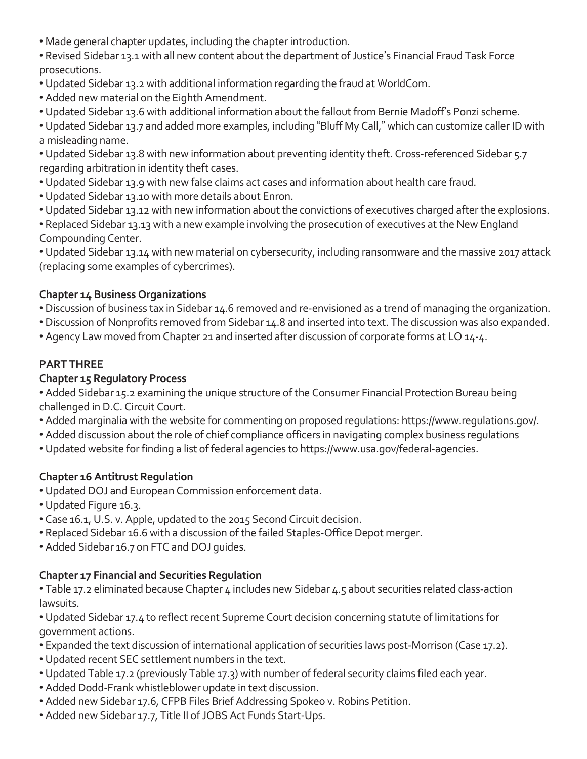• Made general chapter updates, including the chapter introduction.

• Revised Sidebar 13.1 with all new content about the department of Justice's Financial Fraud Task Force prosecutions.

- Updated Sidebar 13.2 with additional information regarding the fraud at WorldCom.
- Added new material on the Eighth Amendment.
- Updated Sidebar 13.6 with additional information about the fallout from Bernie Madoff's Ponzi scheme.

• Updated Sidebar 13.7 and added more examples, including "Bluff My Call," which can customize caller ID with a misleading name.

• Updated Sidebar 13.8 with new information about preventing identity theft. Cross-referenced Sidebar 5.7 regarding arbitration in identity theft cases.

- Updated Sidebar 13.9 with new false claims act cases and information about health care fraud.
- Updated Sidebar 13.10 with more details about Enron.
- Updated Sidebar 13.12 with new information about the convictions of executives charged after the explosions.
- Replaced Sidebar 13.13 with a new example involving the prosecution of executives at the New England Compounding Center.

• Updated Sidebar 13.14 with new material on cybersecurity, including ransomware and the massive 2017 attack (replacing some examples of cybercrimes).

## **Chapter 14 Business Organizations**

- Discussion of business tax in Sidebar 14.6 removed and re-envisioned as a trend of managing the organization.
- Discussion of Nonprofits removed from Sidebar 14.8 and inserted into text. The discussion was also expanded.
- Agency Law moved from Chapter 21 and inserted after discussion of corporate forms at LO 14-4.

## **PART THREE**

#### **Chapter 15 Regulatory Process**

• Added Sidebar 15.2 examining the unique structure of the Consumer Financial Protection Bureau being challenged in D.C. Circuit Court.

- Added marginalia with the website for commenting on proposed regulations: https://www.regulations.gov/.
- Added discussion about the role of chief compliance officers in navigating complex business regulations
- Updated website for finding a list of federal agencies to https://www.usa.gov/federal-agencies.

#### **Chapter 16 Antitrust Regulation**

- Updated DOJ and European Commission enforcement data.
- Updated Figure 16.3.
- Case 16.1, U.S. v. Apple, updated to the 2015 Second Circuit decision.
- Replaced Sidebar 16.6 with a discussion of the failed Staples-Office Depot merger.
- Added Sidebar 16.7 on FTC and DOJ guides.

#### **Chapter 17 Financial and Securities Regulation**

• Table 17.2 eliminated because Chapter 4 includes new Sidebar 4.5 about securities related class-action lawsuits.

• Updated Sidebar 17.4 to reflect recent Supreme Court decision concerning statute of limitations for government actions.

- Expanded the text discussion of international application of securities laws post-Morrison (Case 17.2).
- Updated recent SEC settlement numbers in the text.
- Updated Table 17.2 (previously Table 17.3) with number of federal security claims filed each year.
- Added Dodd-Frank whistleblower update in text discussion.
- Added new Sidebar 17.6, CFPB Files Brief Addressing Spokeo v. Robins Petition.
- Added new Sidebar 17.7, Title II of JOBS Act Funds Start-Ups.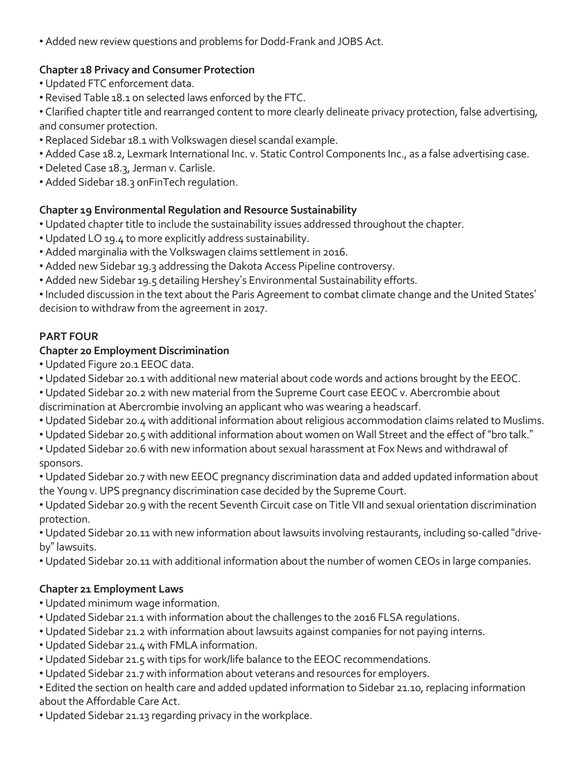• Added new review questions and problems for Dodd-Frank and JOBS Act.

## **Chapter 18 Privacy and Consumer Protection**

- Updated FTC enforcement data.
- Revised Table 18.1 on selected laws enforced by the FTC.
- Clarified chapter title and rearranged content to more clearly delineate privacy protection, false advertising, and consumer protection.
- Replaced Sidebar 18.1 with Volkswagen diesel scandal example.
- Added Case 18.2, Lexmark International Inc. v. Static Control Components Inc., as a false advertising case.
- Deleted Case 18.3, Jerman v. Carlisle.
- Added Sidebar 18.3 onFinTech regulation.

## **Chapter 19 Environmental Regulation and Resource Sustainability**

- Updated chapter title to include the sustainability issues addressed throughout the chapter.
- Updated LO 19.4 to more explicitly address sustainability.
- Added marginalia with the Volkswagen claims settlement in 2016.
- Added new Sidebar 19.3 addressing the Dakota Access Pipeline controversy.
- Added new Sidebar 19.5 detailing Hershey's Environmental Sustainability efforts.

•Included discussion in the text about the Paris Agreement to combat climate change and the United States' decision to withdraw from the agreement in 2017.

## **PART FOUR**

## **Chapter 20 Employment Discrimination**

- Updated Figure 20.1 EEOC data.
- Updated Sidebar 20.1 with additional new material about code words and actions brought by the EEOC.
- Updated Sidebar 20.2 with new material from the Supreme Court case EEOC v. Abercrombie about
- discrimination at Abercrombie involving an applicant who was wearing a headscarf.
- Updated Sidebar 20.4 with additional information about religious accommodation claims related to Muslims.
- Updated Sidebar 20.5 with additional information about women on Wall Street and the effect of "bro talk."
- Updated Sidebar 20.6 with new information about sexual harassment at Fox News and withdrawal of sponsors.
- Updated Sidebar 20.7 with new EEOC pregnancy discrimination data and added updated information about the Young v. UPS pregnancy discrimination case decided by the Supreme Court.
- Updated Sidebar 20.9 with the recent Seventh Circuit case on Title VII and sexual orientation discrimination protection.

• Updated Sidebar 20.11 with new information about lawsuits involving restaurants, including so-called "driveby" lawsuits.

• Updated Sidebar 20.11 with additional information about the number of women CEOs in large companies.

## **Chapter 21 Employment Laws**

- Updated minimum wage information.
- Updated Sidebar 21.1 with information about the challenges to the 2016 FLSA regulations.
- Updated Sidebar 21.2 with information about lawsuits against companies for not paying interns.
- Updated Sidebar 21.4 with FMLA information.
- Updated Sidebar 21.5 with tips for work/life balance to the EEOC recommendations.
- Updated Sidebar 21.7 with information about veterans and resources for employers.

• Edited the section on health care and added updated information to Sidebar 21.10, replacing information about the Affordable Care Act.

• Updated Sidebar 21.13 regarding privacy in the workplace.